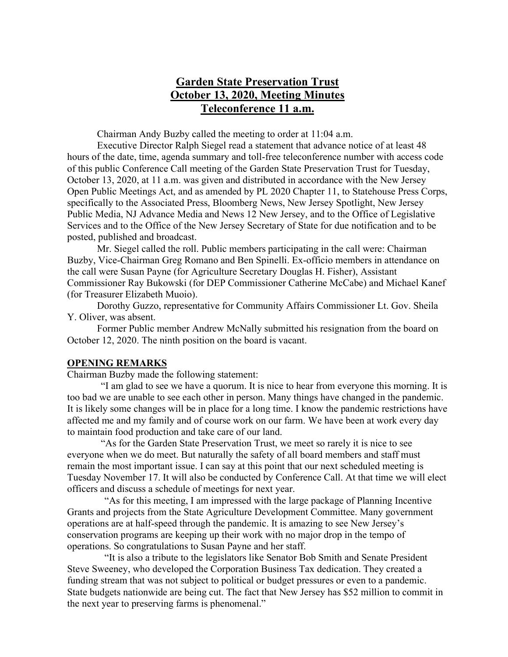# **Garden State Preservation Trust October 13, 2020, Meeting Minutes Teleconference 11 a.m.**

Chairman Andy Buzby called the meeting to order at 11:04 a.m.

Executive Director Ralph Siegel read a statement that advance notice of at least 48 hours of the date, time, agenda summary and toll-free teleconference number with access code of this public Conference Call meeting of the Garden State Preservation Trust for Tuesday, October 13, 2020, at 11 a.m. was given and distributed in accordance with the New Jersey Open Public Meetings Act, and as amended by PL 2020 Chapter 11, to Statehouse Press Corps, specifically to the Associated Press, Bloomberg News, New Jersey Spotlight, New Jersey Public Media, NJ Advance Media and News 12 New Jersey, and to the Office of Legislative Services and to the Office of the New Jersey Secretary of State for due notification and to be posted, published and broadcast.

Mr. Siegel called the roll. Public members participating in the call were: Chairman Buzby, Vice-Chairman Greg Romano and Ben Spinelli. Ex-officio members in attendance on the call were Susan Payne (for Agriculture Secretary Douglas H. Fisher), Assistant Commissioner Ray Bukowski (for DEP Commissioner Catherine McCabe) and Michael Kanef (for Treasurer Elizabeth Muoio).

Dorothy Guzzo, representative for Community Affairs Commissioner Lt. Gov. Sheila Y. Oliver, was absent.

Former Public member Andrew McNally submitted his resignation from the board on October 12, 2020. The ninth position on the board is vacant.

#### **OPENING REMARKS**

Chairman Buzby made the following statement:

"I am glad to see we have a quorum. It is nice to hear from everyone this morning. It is too bad we are unable to see each other in person. Many things have changed in the pandemic. It is likely some changes will be in place for a long time. I know the pandemic restrictions have affected me and my family and of course work on our farm. We have been at work every day to maintain food production and take care of our land.

"As for the Garden State Preservation Trust, we meet so rarely it is nice to see everyone when we do meet. But naturally the safety of all board members and staff must remain the most important issue. I can say at this point that our next scheduled meeting is Tuesday November 17. It will also be conducted by Conference Call. At that time we will elect officers and discuss a schedule of meetings for next year.

"As for this meeting, I am impressed with the large package of Planning Incentive Grants and projects from the State Agriculture Development Committee. Many government operations are at half-speed through the pandemic. It is amazing to see New Jersey's conservation programs are keeping up their work with no major drop in the tempo of operations. So congratulations to Susan Payne and her staff.

"It is also a tribute to the legislators like Senator Bob Smith and Senate President Steve Sweeney, who developed the Corporation Business Tax dedication. They created a funding stream that was not subject to political or budget pressures or even to a pandemic. State budgets nationwide are being cut. The fact that New Jersey has \$52 million to commit in the next year to preserving farms is phenomenal."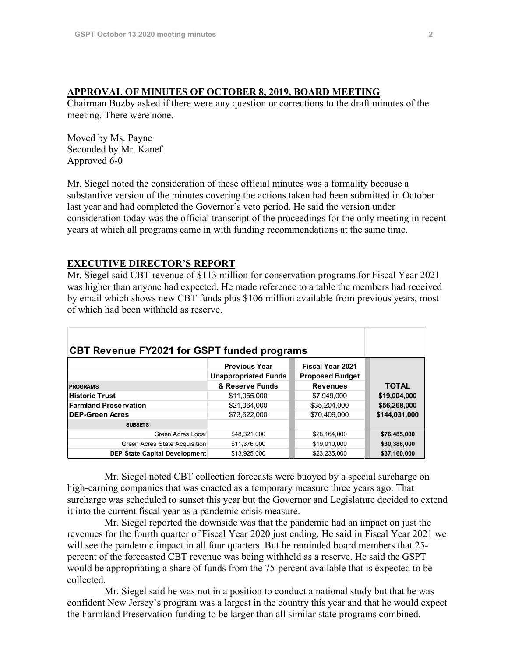#### **APPROVAL OF MINUTES OF OCTOBER 8, 2019, BOARD MEETING**

Chairman Buzby asked if there were any question or corrections to the draft minutes of the meeting. There were none.

Moved by Ms. Payne Seconded by Mr. Kanef Approved 6-0

Mr. Siegel noted the consideration of these official minutes was a formality because a substantive version of the minutes covering the actions taken had been submitted in October last year and had completed the Governor's veto period. He said the version under consideration today was the official transcript of the proceedings for the only meeting in recent years at which all programs came in with funding recommendations at the same time.

#### **EXECUTIVE DIRECTOR'S REPORT**

Mr. Siegel said CBT revenue of \$113 million for conservation programs for Fiscal Year 2021 was higher than anyone had expected. He made reference to a table the members had received by email which shows new CBT funds plus \$106 million available from previous years, most of which had been withheld as reserve.

| CBT Revenue FY2021 for GSPT funded programs |                                                     |                                                   |               |
|---------------------------------------------|-----------------------------------------------------|---------------------------------------------------|---------------|
|                                             | <b>Previous Year</b><br><b>Unappropriated Funds</b> | <b>Fiscal Year 2021</b><br><b>Proposed Budget</b> |               |
| <b>PROGRAMS</b>                             | & Reserve Funds                                     | <b>Revenues</b>                                   | <b>TOTAL</b>  |
| <b>IHistoric Trust</b>                      | \$11,055,000                                        | \$7,949,000                                       | \$19,004,000  |
| <b>Farmland Preservation</b>                | \$21,064,000                                        | \$35,204,000                                      | \$56,268,000  |
| <b>IDEP-Green Acres</b>                     | \$73,622,000                                        | \$70,409,000                                      | \$144,031,000 |
| <b>SUBSETS</b>                              |                                                     |                                                   |               |
| Green Acres Local                           | \$48,321,000                                        | \$28,164,000                                      | \$76,485,000  |
| Green Acres State Acquisition               | \$11,376,000                                        | \$19,010,000                                      | \$30,386,000  |
| <b>DEP State Capital Development</b>        | \$13,925,000                                        | \$23,235,000                                      | \$37,160,000  |

Mr. Siegel noted CBT collection forecasts were buoyed by a special surcharge on high-earning companies that was enacted as a temporary measure three years ago. That surcharge was scheduled to sunset this year but the Governor and Legislature decided to extend it into the current fiscal year as a pandemic crisis measure.

Mr. Siegel reported the downside was that the pandemic had an impact on just the revenues for the fourth quarter of Fiscal Year 2020 just ending. He said in Fiscal Year 2021 we will see the pandemic impact in all four quarters. But he reminded board members that 25 percent of the forecasted CBT revenue was being withheld as a reserve. He said the GSPT would be appropriating a share of funds from the 75-percent available that is expected to be collected.

Mr. Siegel said he was not in a position to conduct a national study but that he was confident New Jersey's program was a largest in the country this year and that he would expect the Farmland Preservation funding to be larger than all similar state programs combined.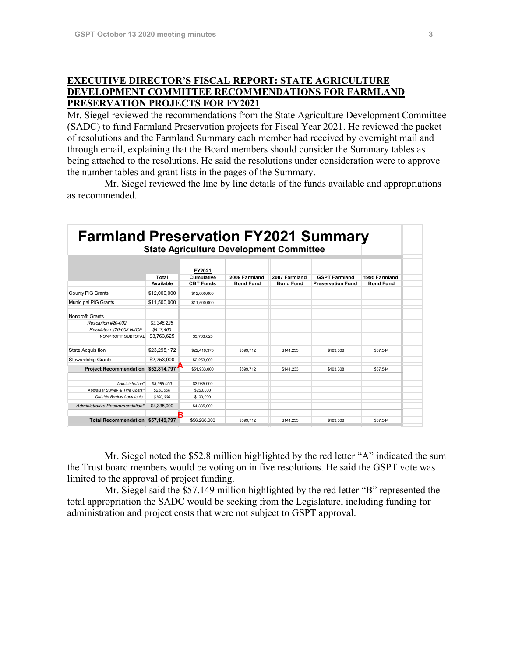### **EXECUTIVE DIRECTOR'S FISCAL REPORT: STATE AGRICULTURE DEVELOPMENT COMMITTEE RECOMMENDATIONS FOR FARMLAND PRESERVATION PROJECTS FOR FY2021**

Mr. Siegel reviewed the recommendations from the State Agriculture Development Committee (SADC) to fund Farmland Preservation projects for Fiscal Year 2021. He reviewed the packet of resolutions and the Farmland Summary each member had received by overnight mail and through email, explaining that the Board members should consider the Summary tables as being attached to the resolutions. He said the resolutions under consideration were to approve the number tables and grant lists in the pages of the Summary.

Mr. Siegel reviewed the line by line details of the funds available and appropriations as recommended.

| <b>Farmland Preservation FY2021 Summary</b><br><b>State Agriculture Development Committee</b> |                                         |                                          |                                   |                                   |                                                  |                                   |  |  |
|-----------------------------------------------------------------------------------------------|-----------------------------------------|------------------------------------------|-----------------------------------|-----------------------------------|--------------------------------------------------|-----------------------------------|--|--|
|                                                                                               | Total<br>Available                      | FY2021<br>Cumulative<br><b>CBT Funds</b> | 2009 Farmland<br><b>Bond Fund</b> | 2007 Farmland<br><b>Bond Fund</b> | <b>GSPT Farmland</b><br><b>Preservation Fund</b> | 1995 Farmland<br><b>Bond Fund</b> |  |  |
| County PIG Grants                                                                             | \$12,000,000                            | \$12,000,000                             |                                   |                                   |                                                  |                                   |  |  |
| <b>Municipal PIG Grants</b>                                                                   | \$11,500,000                            | \$11,500,000                             |                                   |                                   |                                                  |                                   |  |  |
| Nonprofit Grants<br>Resolution #20-002<br>Resolution #20-003 NJCF<br>NONPROFIT SUBTOTAL       | \$3.346.225<br>\$417,400<br>\$3.763.625 | \$3.763.625                              |                                   |                                   |                                                  |                                   |  |  |
| <b>State Acquisition</b>                                                                      | \$23.298.172                            | \$22,416,375                             | \$599.712                         | \$141.233                         | \$103,308                                        | \$37.544                          |  |  |
| <b>Stewardship Grants</b>                                                                     | \$2,253,000                             | \$2,253,000                              |                                   |                                   |                                                  |                                   |  |  |
| <b>Project Recommendation</b>                                                                 | \$52,814,797                            | \$51.933.000                             | \$599,712                         | \$141.233                         | \$103,308                                        | \$37.544                          |  |  |
| Administration*<br>Appraisal Survey & Title Costs'<br>Outside Review Appraisals*              | \$3,985,000<br>\$250,000<br>\$100,000   | \$3.985.000<br>\$250,000<br>\$100,000    |                                   |                                   |                                                  |                                   |  |  |
| Administrative Recommendation*                                                                | \$4,335,000                             | \$4,335,000                              |                                   |                                   |                                                  |                                   |  |  |
| Total Recommendation \$57,149,797                                                             | В                                       | \$56,268,000                             | \$599,712                         | \$141.233                         | \$103,308                                        | \$37.544                          |  |  |

Mr. Siegel noted the \$52.8 million highlighted by the red letter "A" indicated the sum the Trust board members would be voting on in five resolutions. He said the GSPT vote was limited to the approval of project funding.

Mr. Siegel said the \$57.149 million highlighted by the red letter "B" represented the total appropriation the SADC would be seeking from the Legislature, including funding for administration and project costs that were not subject to GSPT approval.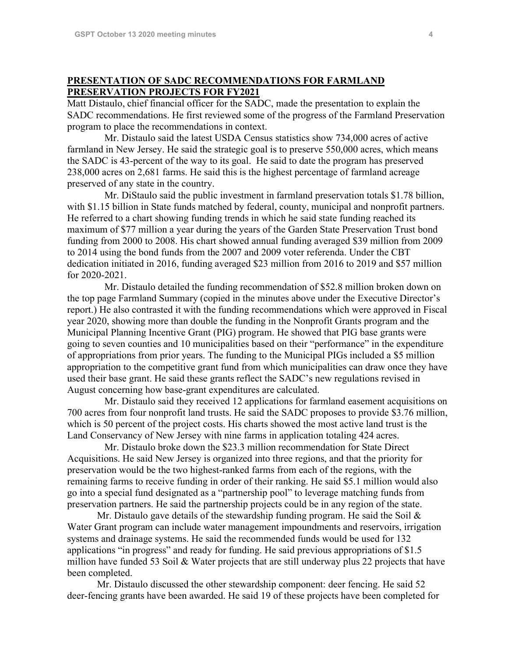#### **PRESENTATION OF SADC RECOMMENDATIONS FOR FARMLAND PRESERVATION PROJECTS FOR FY2021**

Matt Distaulo, chief financial officer for the SADC, made the presentation to explain the SADC recommendations. He first reviewed some of the progress of the Farmland Preservation program to place the recommendations in context.

Mr. Distaulo said the latest USDA Census statistics show 734,000 acres of active farmland in New Jersey. He said the strategic goal is to preserve 550,000 acres, which means the SADC is 43-percent of the way to its goal. He said to date the program has preserved 238,000 acres on 2,681 farms. He said this is the highest percentage of farmland acreage preserved of any state in the country.

Mr. DiStaulo said the public investment in farmland preservation totals \$1.78 billion, with \$1.15 billion in State funds matched by federal, county, municipal and nonprofit partners. He referred to a chart showing funding trends in which he said state funding reached its maximum of \$77 million a year during the years of the Garden State Preservation Trust bond funding from 2000 to 2008. His chart showed annual funding averaged \$39 million from 2009 to 2014 using the bond funds from the 2007 and 2009 voter referenda. Under the CBT dedication initiated in 2016, funding averaged \$23 million from 2016 to 2019 and \$57 million for 2020-2021.

Mr. Distaulo detailed the funding recommendation of \$52.8 million broken down on the top page Farmland Summary (copied in the minutes above under the Executive Director's report.) He also contrasted it with the funding recommendations which were approved in Fiscal year 2020, showing more than double the funding in the Nonprofit Grants program and the Municipal Planning Incentive Grant (PIG) program. He showed that PIG base grants were going to seven counties and 10 municipalities based on their "performance" in the expenditure of appropriations from prior years. The funding to the Municipal PIGs included a \$5 million appropriation to the competitive grant fund from which municipalities can draw once they have used their base grant. He said these grants reflect the SADC's new regulations revised in August concerning how base-grant expenditures are calculated.

Mr. Distaulo said they received 12 applications for farmland easement acquisitions on 700 acres from four nonprofit land trusts. He said the SADC proposes to provide \$3.76 million, which is 50 percent of the project costs. His charts showed the most active land trust is the Land Conservancy of New Jersey with nine farms in application totaling 424 acres.

Mr. Distaulo broke down the \$23.3 million recommendation for State Direct Acquisitions. He said New Jersey is organized into three regions, and that the priority for preservation would be the two highest-ranked farms from each of the regions, with the remaining farms to receive funding in order of their ranking. He said \$5.1 million would also go into a special fund designated as a "partnership pool" to leverage matching funds from preservation partners. He said the partnership projects could be in any region of the state.

Mr. Distaulo gave details of the stewardship funding program. He said the Soil  $\&$ Water Grant program can include water management impoundments and reservoirs, irrigation systems and drainage systems. He said the recommended funds would be used for 132 applications "in progress" and ready for funding. He said previous appropriations of \$1.5 million have funded 53 Soil & Water projects that are still underway plus 22 projects that have been completed.

Mr. Distaulo discussed the other stewardship component: deer fencing. He said 52 deer-fencing grants have been awarded. He said 19 of these projects have been completed for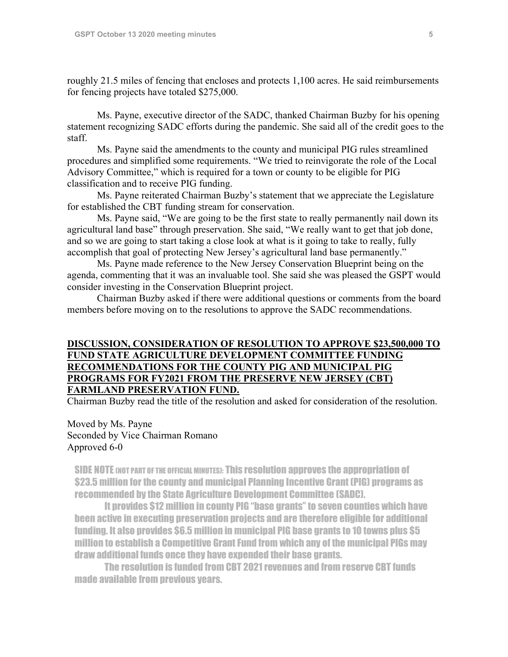roughly 21.5 miles of fencing that encloses and protects 1,100 acres. He said reimbursements for fencing projects have totaled \$275,000.

Ms. Payne, executive director of the SADC, thanked Chairman Buzby for his opening statement recognizing SADC efforts during the pandemic. She said all of the credit goes to the staff.

Ms. Payne said the amendments to the county and municipal PIG rules streamlined procedures and simplified some requirements. "We tried to reinvigorate the role of the Local Advisory Committee," which is required for a town or county to be eligible for PIG classification and to receive PIG funding.

Ms. Payne reiterated Chairman Buzby's statement that we appreciate the Legislature for established the CBT funding stream for conservation.

Ms. Payne said, "We are going to be the first state to really permanently nail down its agricultural land base" through preservation. She said, "We really want to get that job done, and so we are going to start taking a close look at what is it going to take to really, fully accomplish that goal of protecting New Jersey's agricultural land base permanently."

Ms. Payne made reference to the New Jersey Conservation Blueprint being on the agenda, commenting that it was an invaluable tool. She said she was pleased the GSPT would consider investing in the Conservation Blueprint project.

Chairman Buzby asked if there were additional questions or comments from the board members before moving on to the resolutions to approve the SADC recommendations.

### **DISCUSSION, CONSIDERATION OF RESOLUTION TO APPROVE \$23,500,000 TO FUND STATE AGRICULTURE DEVELOPMENT COMMITTEE FUNDING RECOMMENDATIONS FOR THE COUNTY PIG AND MUNICIPAL PIG PROGRAMS FOR FY2021 FROM THE PRESERVE NEW JERSEY (CBT) FARMLAND PRESERVATION FUND.**

Chairman Buzby read the title of the resolution and asked for consideration of the resolution.

Moved by Ms. Payne Seconded by Vice Chairman Romano Approved 6-0

SIDE NOTE (NOT PART OF THE OFFICIAL MINUTES): This resolution approves the appropriation of \$23.5 million for the county and municipal Planning Incentive Grant (PIG) programs as recommended by the State Agriculture Development Committee (SADC).

It provides \$12 million in county PIG "base grants" to seven counties which have been active in executing preservation projects and are therefore eligible for additional funding. It also provides \$6.5 million in municipal PIG base grants to 10 towns plus \$5 million to establish a Competitive Grant Fund from which any of the municipal PIGs may draw additional funds once they have expended their base grants.

The resolution is funded from CBT 2021revenues and from reserve CBT funds made available from previous years.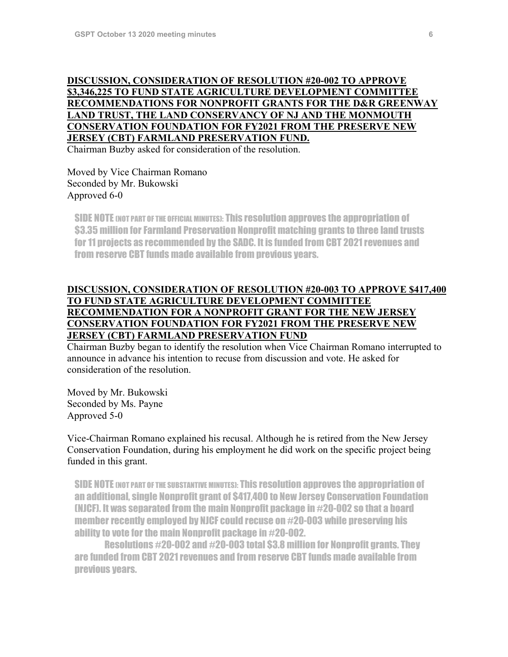# **DISCUSSION, CONSIDERATION OF RESOLUTION #20-002 TO APPROVE \$3,346,225 TO FUND STATE AGRICULTURE DEVELOPMENT COMMITTEE RECOMMENDATIONS FOR NONPROFIT GRANTS FOR THE D&R GREENWAY LAND TRUST, THE LAND CONSERVANCY OF NJ AND THE MONMOUTH CONSERVATION FOUNDATION FOR FY2021 FROM THE PRESERVE NEW JERSEY (CBT) FARMLAND PRESERVATION FUND.**

Chairman Buzby asked for consideration of the resolution.

### Moved by Vice Chairman Romano Seconded by Mr. Bukowski Approved 6-0

SIDE NOTE (NOT PART OF THE OFFICIAL MINUTES): This resolution approves the appropriation of \$3.35 million for Farmland Preservation Nonprofit matching grants to three land trusts for 11 projects as recommended by the SADC. It is funded from CBT 2021revenues and from reserve CBT funds made available from previous years.

### **DISCUSSION, CONSIDERATION OF RESOLUTION #20-003 TO APPROVE \$417,400 TO FUND STATE AGRICULTURE DEVELOPMENT COMMITTEE RECOMMENDATION FOR A NONPROFIT GRANT FOR THE NEW JERSEY CONSERVATION FOUNDATION FOR FY2021 FROM THE PRESERVE NEW JERSEY (CBT) FARMLAND PRESERVATION FUND**

Chairman Buzby began to identify the resolution when Vice Chairman Romano interrupted to announce in advance his intention to recuse from discussion and vote. He asked for consideration of the resolution.

Moved by Mr. Bukowski Seconded by Ms. Payne Approved 5-0

Vice-Chairman Romano explained his recusal. Although he is retired from the New Jersey Conservation Foundation, during his employment he did work on the specific project being funded in this grant.

SIDE NOTE (NOT PART OF THE SUBSTANTIVE MINUTES): This resolution approves the appropriation of an additional, single Nonprofit grant of \$417,400 to New Jersey Conservation Foundation (NJCF). It was separated from the main Nonprofit package in #20-002 so that a board member recently employed by NJCF could recuse on #20-003 while preserving his ability to vote for the main Nonprofit package in #20-002.

Resolutions #20-002 and #20-003 total \$3.8 million for Nonprofit grants. They are funded from CBT 2021revenues and from reserve CBT funds made available from previous years.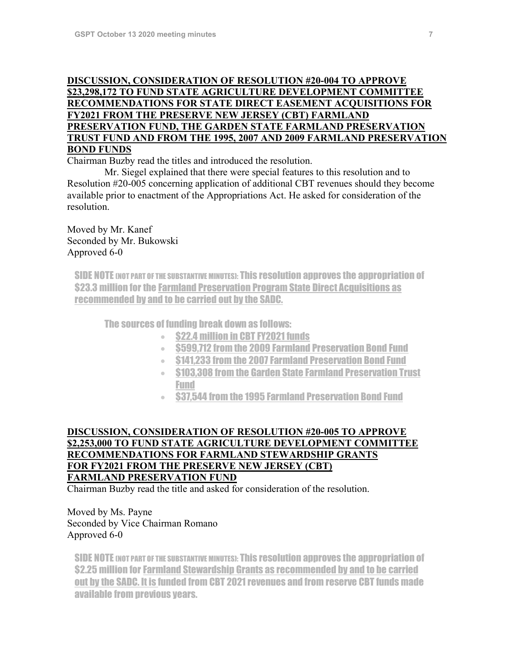### **DISCUSSION, CONSIDERATION OF RESOLUTION #20-004 TO APPROVE \$23,298,172 TO FUND STATE AGRICULTURE DEVELOPMENT COMMITTEE RECOMMENDATIONS FOR STATE DIRECT EASEMENT ACQUISITIONS FOR FY2021 FROM THE PRESERVE NEW JERSEY (CBT) FARMLAND PRESERVATION FUND, THE GARDEN STATE FARMLAND PRESERVATION TRUST FUND AND FROM THE 1995, 2007 AND 2009 FARMLAND PRESERVATION BOND FUNDS**

Chairman Buzby read the titles and introduced the resolution.

Mr. Siegel explained that there were special features to this resolution and to Resolution #20-005 concerning application of additional CBT revenues should they become available prior to enactment of the Appropriations Act. He asked for consideration of the resolution.

Moved by Mr. Kanef Seconded by Mr. Bukowski Approved 6-0

SIDE NOTE (NOT PART OF THE SUBSTANTIVE MINUTES): This resolution approves the appropriation of \$23.3 million for the Farmland Preservation Program State Direct Acquisitions as recommended by and to be carried out by the SADC.

The sources of funding break down as follows:

- **\$22.4 million in CBT FY2021 funds**
- \$599,712 from the 2009 Farmland Preservation Bond Fund
- \$141,233 from the 2007 Farmland Preservation Bond Fund
- \$103,308 from the Garden State Farmland Preservation Trust Fund
- \$37,544 from the 1995 Farmland Preservation Bond Fund

## **DISCUSSION, CONSIDERATION OF RESOLUTION #20-005 TO APPROVE \$2,253,000 TO FUND STATE AGRICULTURE DEVELOPMENT COMMITTEE RECOMMENDATIONS FOR FARMLAND STEWARDSHIP GRANTS FOR FY2021 FROM THE PRESERVE NEW JERSEY (CBT) FARMLAND PRESERVATION FUND**

Chairman Buzby read the title and asked for consideration of the resolution.

Moved by Ms. Payne Seconded by Vice Chairman Romano Approved 6-0

SIDE NOTE (NOT PART OF THE SUBSTANTIVE MINUTES): This resolution approves the appropriation of \$2.25 million for Farmland Stewardship Grants as recommended by and to be carried out by the SADC. It is funded from CBT 2021 revenues and from reserve CBT funds made available from previous years.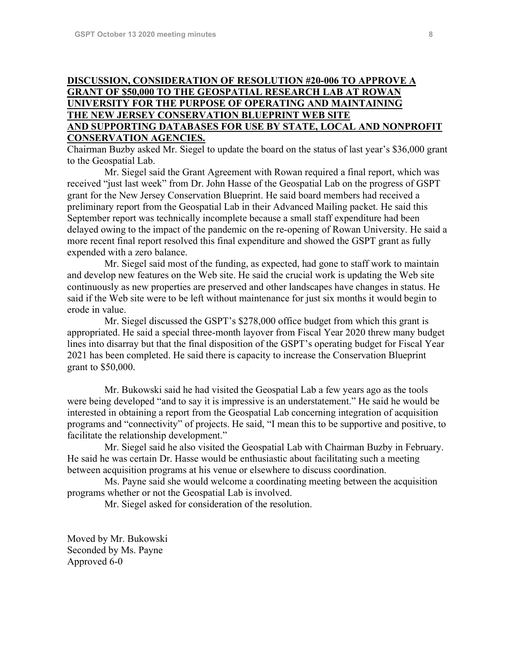### **DISCUSSION, CONSIDERATION OF RESOLUTION #20-006 TO APPROVE A GRANT OF \$50,000 TO THE GEOSPATIAL RESEARCH LAB AT ROWAN UNIVERSITY FOR THE PURPOSE OF OPERATING AND MAINTAINING THE NEW JERSEY CONSERVATION BLUEPRINT WEB SITE AND SUPPORTING DATABASES FOR USE BY STATE, LOCAL AND NONPROFIT CONSERVATION AGENCIES.**

Chairman Buzby asked Mr. Siegel to update the board on the status of last year's \$36,000 grant to the Geospatial Lab.

Mr. Siegel said the Grant Agreement with Rowan required a final report, which was received "just last week" from Dr. John Hasse of the Geospatial Lab on the progress of GSPT grant for the New Jersey Conservation Blueprint. He said board members had received a preliminary report from the Geospatial Lab in their Advanced Mailing packet. He said this September report was technically incomplete because a small staff expenditure had been delayed owing to the impact of the pandemic on the re-opening of Rowan University. He said a more recent final report resolved this final expenditure and showed the GSPT grant as fully expended with a zero balance.

Mr. Siegel said most of the funding, as expected, had gone to staff work to maintain and develop new features on the Web site. He said the crucial work is updating the Web site continuously as new properties are preserved and other landscapes have changes in status. He said if the Web site were to be left without maintenance for just six months it would begin to erode in value.

Mr. Siegel discussed the GSPT's \$278,000 office budget from which this grant is appropriated. He said a special three-month layover from Fiscal Year 2020 threw many budget lines into disarray but that the final disposition of the GSPT's operating budget for Fiscal Year 2021 has been completed. He said there is capacity to increase the Conservation Blueprint grant to \$50,000.

Mr. Bukowski said he had visited the Geospatial Lab a few years ago as the tools were being developed "and to say it is impressive is an understatement." He said he would be interested in obtaining a report from the Geospatial Lab concerning integration of acquisition programs and "connectivity" of projects. He said, "I mean this to be supportive and positive, to facilitate the relationship development."

Mr. Siegel said he also visited the Geospatial Lab with Chairman Buzby in February. He said he was certain Dr. Hasse would be enthusiastic about facilitating such a meeting between acquisition programs at his venue or elsewhere to discuss coordination.

Ms. Payne said she would welcome a coordinating meeting between the acquisition programs whether or not the Geospatial Lab is involved.

Mr. Siegel asked for consideration of the resolution.

Moved by Mr. Bukowski Seconded by Ms. Payne Approved 6-0